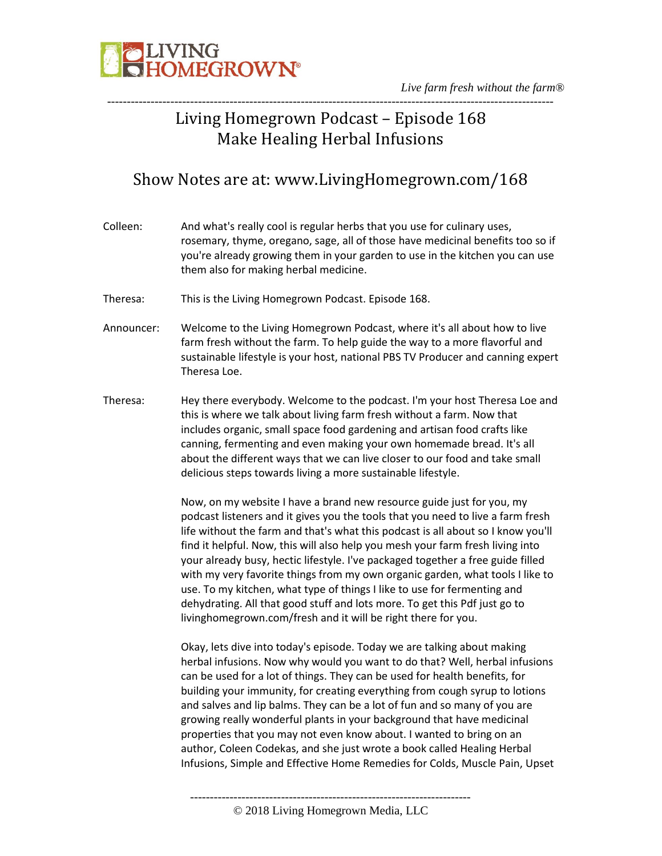

*Live farm fresh without the farm®* -----------------------------------------------------------------------------------------------------------------

## Living Homegrown Podcast – Episode 168 Make Healing Herbal Infusions

### Show Notes are at: www.LivingHomegrown.com/168

| Colleen:   | And what's really cool is regular herbs that you use for culinary uses,<br>rosemary, thyme, oregano, sage, all of those have medicinal benefits too so if<br>you're already growing them in your garden to use in the kitchen you can use<br>them also for making herbal medicine.                                                                                                                                                                                                                                                                                                                                                                                                                                            |
|------------|-------------------------------------------------------------------------------------------------------------------------------------------------------------------------------------------------------------------------------------------------------------------------------------------------------------------------------------------------------------------------------------------------------------------------------------------------------------------------------------------------------------------------------------------------------------------------------------------------------------------------------------------------------------------------------------------------------------------------------|
| Theresa:   | This is the Living Homegrown Podcast. Episode 168.                                                                                                                                                                                                                                                                                                                                                                                                                                                                                                                                                                                                                                                                            |
| Announcer: | Welcome to the Living Homegrown Podcast, where it's all about how to live<br>farm fresh without the farm. To help guide the way to a more flavorful and<br>sustainable lifestyle is your host, national PBS TV Producer and canning expert<br>Theresa Loe.                                                                                                                                                                                                                                                                                                                                                                                                                                                                    |
| Theresa:   | Hey there everybody. Welcome to the podcast. I'm your host Theresa Loe and<br>this is where we talk about living farm fresh without a farm. Now that<br>includes organic, small space food gardening and artisan food crafts like<br>canning, fermenting and even making your own homemade bread. It's all<br>about the different ways that we can live closer to our food and take small<br>delicious steps towards living a more sustainable lifestyle.                                                                                                                                                                                                                                                                     |
|            | Now, on my website I have a brand new resource guide just for you, my<br>podcast listeners and it gives you the tools that you need to live a farm fresh<br>life without the farm and that's what this podcast is all about so I know you'll<br>find it helpful. Now, this will also help you mesh your farm fresh living into<br>your already busy, hectic lifestyle. I've packaged together a free guide filled<br>with my very favorite things from my own organic garden, what tools I like to<br>use. To my kitchen, what type of things I like to use for fermenting and<br>dehydrating. All that good stuff and lots more. To get this Pdf just go to<br>livinghomegrown.com/fresh and it will be right there for you. |
|            | Okay, lets dive into today's episode. Today we are talking about making<br>herbal infusions. Now why would you want to do that? Well, herbal infusions<br>can be used for a lot of things. They can be used for health benefits, for<br>building your immunity, for creating everything from cough syrup to lotions<br>and salves and lip balms. They can be a lot of fun and so many of you are<br>growing really wonderful plants in your background that have medicinal<br>properties that you may not even know about. I wanted to bring on an<br>author, Coleen Codekas, and she just wrote a book called Healing Herbal<br>Infusions, Simple and Effective Home Remedies for Colds, Muscle Pain, Upset                  |
|            |                                                                                                                                                                                                                                                                                                                                                                                                                                                                                                                                                                                                                                                                                                                               |

© 2018 Living Homegrown Media, LLC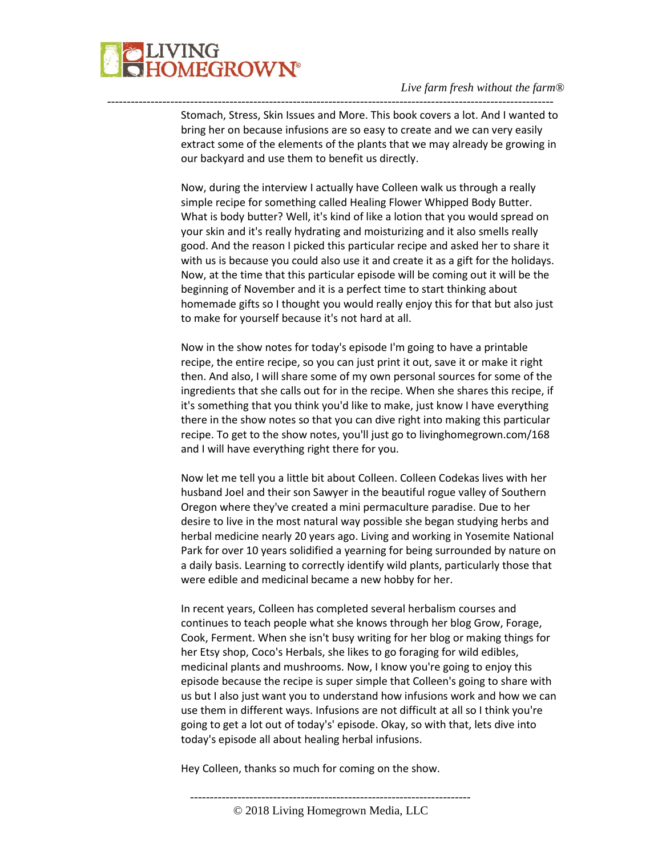

Stomach, Stress, Skin Issues and More. This book covers a lot. And I wanted to bring her on because infusions are so easy to create and we can very easily extract some of the elements of the plants that we may already be growing in our backyard and use them to benefit us directly.

-----------------------------------------------------------------------------------------------------------------

Now, during the interview I actually have Colleen walk us through a really simple recipe for something called Healing Flower Whipped Body Butter. What is body butter? Well, it's kind of like a lotion that you would spread on your skin and it's really hydrating and moisturizing and it also smells really good. And the reason I picked this particular recipe and asked her to share it with us is because you could also use it and create it as a gift for the holidays. Now, at the time that this particular episode will be coming out it will be the beginning of November and it is a perfect time to start thinking about homemade gifts so I thought you would really enjoy this for that but also just to make for yourself because it's not hard at all.

Now in the show notes for today's episode I'm going to have a printable recipe, the entire recipe, so you can just print it out, save it or make it right then. And also, I will share some of my own personal sources for some of the ingredients that she calls out for in the recipe. When she shares this recipe, if it's something that you think you'd like to make, just know I have everything there in the show notes so that you can dive right into making this particular recipe. To get to the show notes, you'll just go to livinghomegrown.com/168 and I will have everything right there for you.

Now let me tell you a little bit about Colleen. Colleen Codekas lives with her husband Joel and their son Sawyer in the beautiful rogue valley of Southern Oregon where they've created a mini permaculture paradise. Due to her desire to live in the most natural way possible she began studying herbs and herbal medicine nearly 20 years ago. Living and working in Yosemite National Park for over 10 years solidified a yearning for being surrounded by nature on a daily basis. Learning to correctly identify wild plants, particularly those that were edible and medicinal became a new hobby for her.

In recent years, Colleen has completed several herbalism courses and continues to teach people what she knows through her blog Grow, Forage, Cook, Ferment. When she isn't busy writing for her blog or making things for her Etsy shop, Coco's Herbals, she likes to go foraging for wild edibles, medicinal plants and mushrooms. Now, I know you're going to enjoy this episode because the recipe is super simple that Colleen's going to share with us but I also just want you to understand how infusions work and how we can use them in different ways. Infusions are not difficult at all so I think you're going to get a lot out of today's' episode. Okay, so with that, lets dive into today's episode all about healing herbal infusions.

-----------------------------------------------------------------------

Hey Colleen, thanks so much for coming on the show.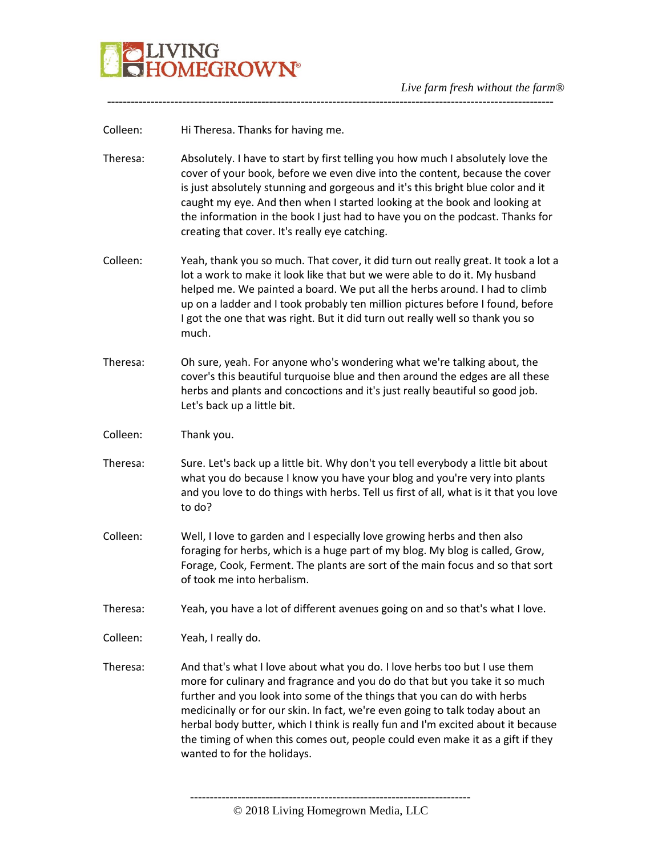

Colleen: Hi Theresa. Thanks for having me.

Theresa: Absolutely. I have to start by first telling you how much I absolutely love the cover of your book, before we even dive into the content, because the cover is just absolutely stunning and gorgeous and it's this bright blue color and it caught my eye. And then when I started looking at the book and looking at the information in the book I just had to have you on the podcast. Thanks for creating that cover. It's really eye catching.

-----------------------------------------------------------------------------------------------------------------

- Colleen: Yeah, thank you so much. That cover, it did turn out really great. It took a lot a lot a work to make it look like that but we were able to do it. My husband helped me. We painted a board. We put all the herbs around. I had to climb up on a ladder and I took probably ten million pictures before I found, before I got the one that was right. But it did turn out really well so thank you so much.
- Theresa: Oh sure, yeah. For anyone who's wondering what we're talking about, the cover's this beautiful turquoise blue and then around the edges are all these herbs and plants and concoctions and it's just really beautiful so good job. Let's back up a little bit.
- Colleen: Thank you.
- Theresa: Sure. Let's back up a little bit. Why don't you tell everybody a little bit about what you do because I know you have your blog and you're very into plants and you love to do things with herbs. Tell us first of all, what is it that you love to do?
- Colleen: Well, I love to garden and I especially love growing herbs and then also foraging for herbs, which is a huge part of my blog. My blog is called, Grow, Forage, Cook, Ferment. The plants are sort of the main focus and so that sort of took me into herbalism.

Theresa: Yeah, you have a lot of different avenues going on and so that's what I love.

Colleen: Yeah, I really do.

Theresa: And that's what I love about what you do. I love herbs too but I use them more for culinary and fragrance and you do do that but you take it so much further and you look into some of the things that you can do with herbs medicinally or for our skin. In fact, we're even going to talk today about an herbal body butter, which I think is really fun and I'm excited about it because the timing of when this comes out, people could even make it as a gift if they wanted to for the holidays.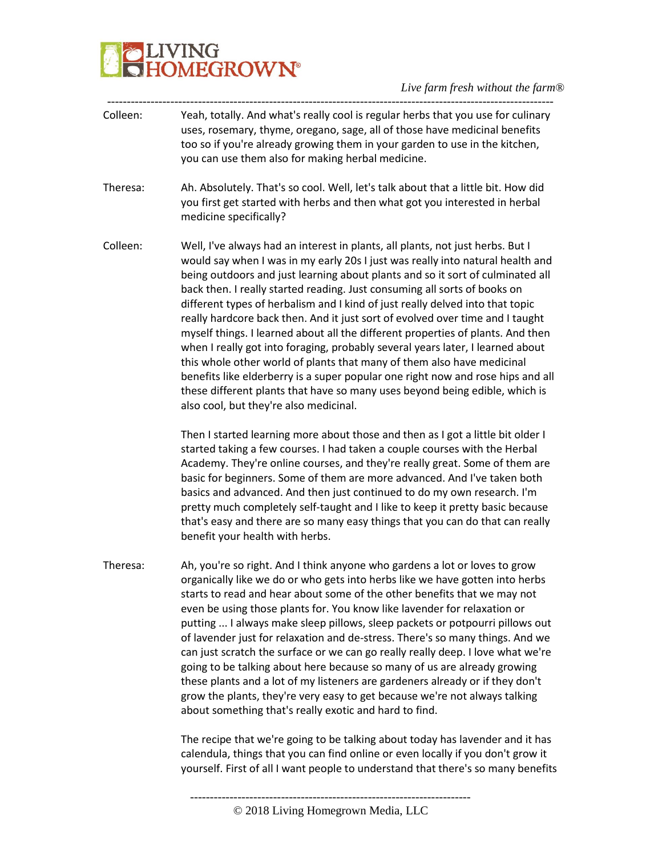# **PLIVING**<br>**CHOMEGROWN®**

*Live farm fresh without the farm®*

| Colleen: | Yeah, totally. And what's really cool is regular herbs that you use for culinary<br>uses, rosemary, thyme, oregano, sage, all of those have medicinal benefits<br>too so if you're already growing them in your garden to use in the kitchen,<br>you can use them also for making herbal medicine.                                                                                                                                                                                                                                                                                                                                                                                                                                                                                                                                                                                                                                                           |
|----------|--------------------------------------------------------------------------------------------------------------------------------------------------------------------------------------------------------------------------------------------------------------------------------------------------------------------------------------------------------------------------------------------------------------------------------------------------------------------------------------------------------------------------------------------------------------------------------------------------------------------------------------------------------------------------------------------------------------------------------------------------------------------------------------------------------------------------------------------------------------------------------------------------------------------------------------------------------------|
| Theresa: | Ah. Absolutely. That's so cool. Well, let's talk about that a little bit. How did<br>you first get started with herbs and then what got you interested in herbal<br>medicine specifically?                                                                                                                                                                                                                                                                                                                                                                                                                                                                                                                                                                                                                                                                                                                                                                   |
| Colleen: | Well, I've always had an interest in plants, all plants, not just herbs. But I<br>would say when I was in my early 20s I just was really into natural health and<br>being outdoors and just learning about plants and so it sort of culminated all<br>back then. I really started reading. Just consuming all sorts of books on<br>different types of herbalism and I kind of just really delved into that topic<br>really hardcore back then. And it just sort of evolved over time and I taught<br>myself things. I learned about all the different properties of plants. And then<br>when I really got into foraging, probably several years later, I learned about<br>this whole other world of plants that many of them also have medicinal<br>benefits like elderberry is a super popular one right now and rose hips and all<br>these different plants that have so many uses beyond being edible, which is<br>also cool, but they're also medicinal. |
|          | Then I started learning more about those and then as I got a little bit older I<br>started taking a few courses. I had taken a couple courses with the Herbal<br>Academy. They're online courses, and they're really great. Some of them are<br>basic for beginners. Some of them are more advanced. And I've taken both<br>basics and advanced. And then just continued to do my own research. I'm<br>pretty much completely self-taught and I like to keep it pretty basic because<br>that's easy and there are so many easy things that you can do that can really<br>benefit your health with herbs.                                                                                                                                                                                                                                                                                                                                                     |
| Theresa: | Ah, you're so right. And I think anyone who gardens a lot or loves to grow<br>organically like we do or who gets into herbs like we have gotten into herbs<br>starts to read and hear about some of the other benefits that we may not<br>even be using those plants for. You know like lavender for relaxation or<br>putting  I always make sleep pillows, sleep packets or potpourri pillows out<br>of lavender just for relaxation and de-stress. There's so many things. And we<br>can just scratch the surface or we can go really really deep. I love what we're<br>going to be talking about here because so many of us are already growing<br>these plants and a lot of my listeners are gardeners already or if they don't<br>grow the plants, they're very easy to get because we're not always talking<br>about something that's really exotic and hard to find.                                                                                  |
|          | The recipe that we're going to be talking about today has lavender and it has<br>calendula, things that you can find online or even locally if you don't grow it                                                                                                                                                                                                                                                                                                                                                                                                                                                                                                                                                                                                                                                                                                                                                                                             |

-----------------------------------------------------------------------

yourself. First of all I want people to understand that there's so many benefits

<sup>©</sup> 2018 Living Homegrown Media, LLC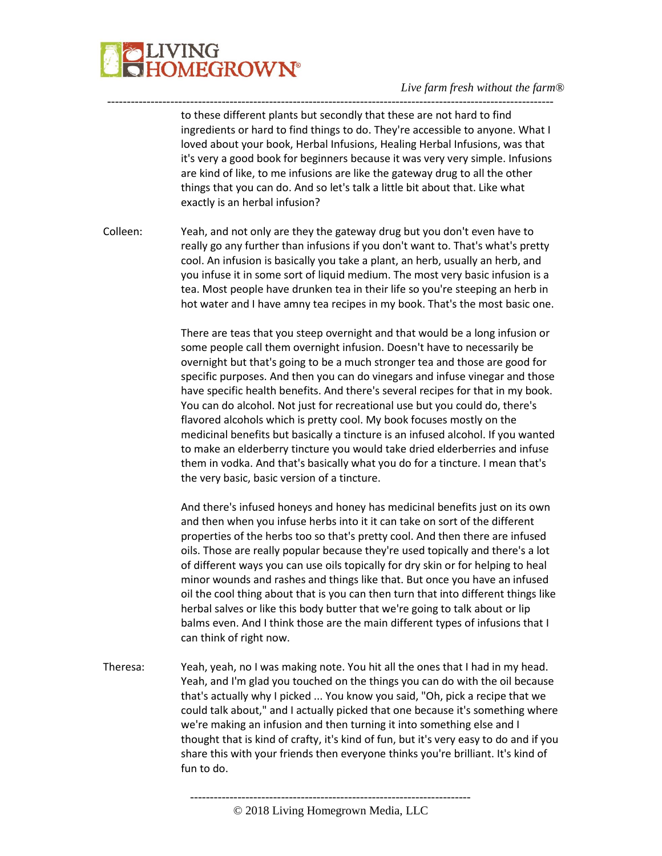

---------------------------------------------------------------------------------------------------------------- to these different plants but secondly that these are not hard to find ingredients or hard to find things to do. They're accessible to anyone. What I loved about your book, Herbal Infusions, Healing Herbal Infusions, was that it's very a good book for beginners because it was very very simple. Infusions are kind of like, to me infusions are like the gateway drug to all the other things that you can do. And so let's talk a little bit about that. Like what exactly is an herbal infusion?

Colleen: Yeah, and not only are they the gateway drug but you don't even have to really go any further than infusions if you don't want to. That's what's pretty cool. An infusion is basically you take a plant, an herb, usually an herb, and you infuse it in some sort of liquid medium. The most very basic infusion is a tea. Most people have drunken tea in their life so you're steeping an herb in hot water and I have amny tea recipes in my book. That's the most basic one.

> There are teas that you steep overnight and that would be a long infusion or some people call them overnight infusion. Doesn't have to necessarily be overnight but that's going to be a much stronger tea and those are good for specific purposes. And then you can do vinegars and infuse vinegar and those have specific health benefits. And there's several recipes for that in my book. You can do alcohol. Not just for recreational use but you could do, there's flavored alcohols which is pretty cool. My book focuses mostly on the medicinal benefits but basically a tincture is an infused alcohol. If you wanted to make an elderberry tincture you would take dried elderberries and infuse them in vodka. And that's basically what you do for a tincture. I mean that's the very basic, basic version of a tincture.

> And there's infused honeys and honey has medicinal benefits just on its own and then when you infuse herbs into it it can take on sort of the different properties of the herbs too so that's pretty cool. And then there are infused oils. Those are really popular because they're used topically and there's a lot of different ways you can use oils topically for dry skin or for helping to heal minor wounds and rashes and things like that. But once you have an infused oil the cool thing about that is you can then turn that into different things like herbal salves or like this body butter that we're going to talk about or lip balms even. And I think those are the main different types of infusions that I can think of right now.

Theresa: Yeah, yeah, no I was making note. You hit all the ones that I had in my head. Yeah, and I'm glad you touched on the things you can do with the oil because that's actually why I picked ... You know you said, "Oh, pick a recipe that we could talk about," and I actually picked that one because it's something where we're making an infusion and then turning it into something else and I thought that is kind of crafty, it's kind of fun, but it's very easy to do and if you share this with your friends then everyone thinks you're brilliant. It's kind of fun to do.

<sup>©</sup> 2018 Living Homegrown Media, LLC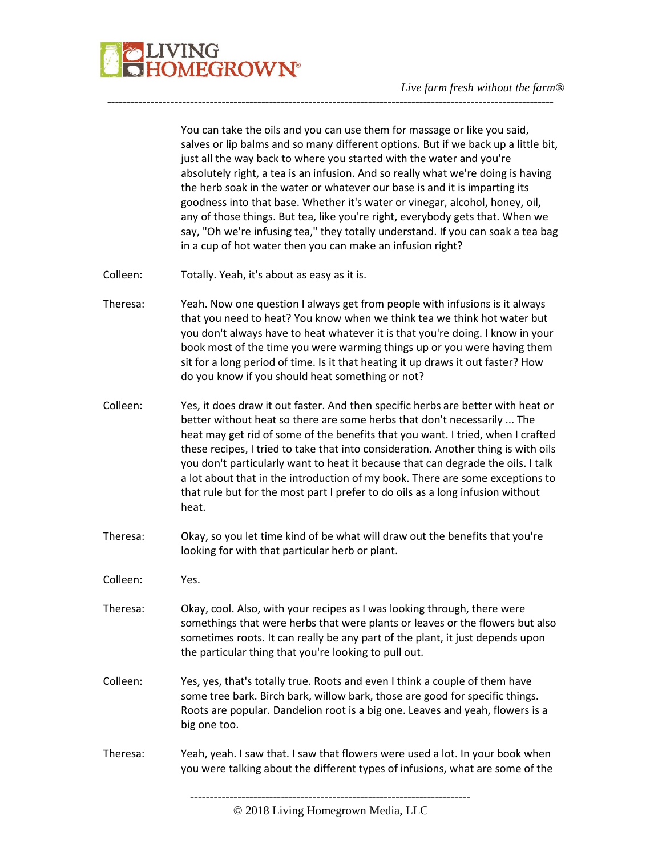

You can take the oils and you can use them for massage or like you said, salves or lip balms and so many different options. But if we back up a little bit, just all the way back to where you started with the water and you're absolutely right, a tea is an infusion. And so really what we're doing is having the herb soak in the water or whatever our base is and it is imparting its goodness into that base. Whether it's water or vinegar, alcohol, honey, oil, any of those things. But tea, like you're right, everybody gets that. When we say, "Oh we're infusing tea," they totally understand. If you can soak a tea bag in a cup of hot water then you can make an infusion right?

- Colleen: Totally. Yeah, it's about as easy as it is.
- Theresa: Yeah. Now one question I always get from people with infusions is it always that you need to heat? You know when we think tea we think hot water but you don't always have to heat whatever it is that you're doing. I know in your book most of the time you were warming things up or you were having them sit for a long period of time. Is it that heating it up draws it out faster? How do you know if you should heat something or not?

-----------------------------------------------------------------------------------------------------------------

- Colleen: Yes, it does draw it out faster. And then specific herbs are better with heat or better without heat so there are some herbs that don't necessarily ... The heat may get rid of some of the benefits that you want. I tried, when I crafted these recipes, I tried to take that into consideration. Another thing is with oils you don't particularly want to heat it because that can degrade the oils. I talk a lot about that in the introduction of my book. There are some exceptions to that rule but for the most part I prefer to do oils as a long infusion without heat.
- Theresa: Okay, so you let time kind of be what will draw out the benefits that you're looking for with that particular herb or plant.
- Colleen: Yes.
- Theresa: Okay, cool. Also, with your recipes as I was looking through, there were somethings that were herbs that were plants or leaves or the flowers but also sometimes roots. It can really be any part of the plant, it just depends upon the particular thing that you're looking to pull out.
- Colleen: Yes, yes, that's totally true. Roots and even I think a couple of them have some tree bark. Birch bark, willow bark, those are good for specific things. Roots are popular. Dandelion root is a big one. Leaves and yeah, flowers is a big one too.
- Theresa: Yeah, yeah. I saw that. I saw that flowers were used a lot. In your book when you were talking about the different types of infusions, what are some of the

<sup>-----------------------------------------------------------------------</sup>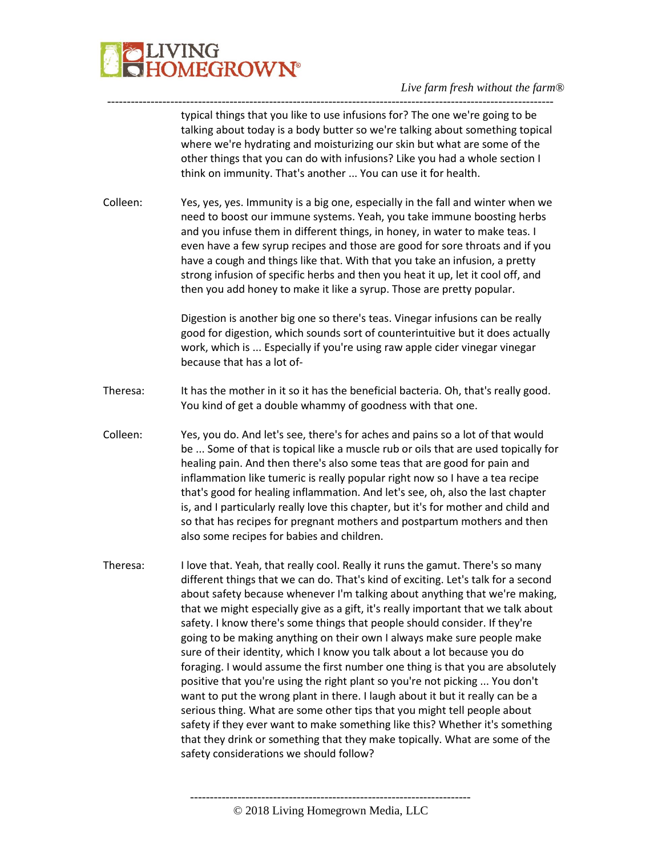

---------------------------------------------------------------------------------------------------------------- typical things that you like to use infusions for? The one we're going to be talking about today is a body butter so we're talking about something topical where we're hydrating and moisturizing our skin but what are some of the other things that you can do with infusions? Like you had a whole section I think on immunity. That's another ... You can use it for health.

Colleen: Yes, yes, yes. Immunity is a big one, especially in the fall and winter when we need to boost our immune systems. Yeah, you take immune boosting herbs and you infuse them in different things, in honey, in water to make teas. I even have a few syrup recipes and those are good for sore throats and if you have a cough and things like that. With that you take an infusion, a pretty strong infusion of specific herbs and then you heat it up, let it cool off, and then you add honey to make it like a syrup. Those are pretty popular.

> Digestion is another big one so there's teas. Vinegar infusions can be really good for digestion, which sounds sort of counterintuitive but it does actually work, which is ... Especially if you're using raw apple cider vinegar vinegar because that has a lot of-

- Theresa: It has the mother in it so it has the beneficial bacteria. Oh, that's really good. You kind of get a double whammy of goodness with that one.
- Colleen: Yes, you do. And let's see, there's for aches and pains so a lot of that would be ... Some of that is topical like a muscle rub or oils that are used topically for healing pain. And then there's also some teas that are good for pain and inflammation like tumeric is really popular right now so I have a tea recipe that's good for healing inflammation. And let's see, oh, also the last chapter is, and I particularly really love this chapter, but it's for mother and child and so that has recipes for pregnant mothers and postpartum mothers and then also some recipes for babies and children.
- Theresa: I love that. Yeah, that really cool. Really it runs the gamut. There's so many different things that we can do. That's kind of exciting. Let's talk for a second about safety because whenever I'm talking about anything that we're making, that we might especially give as a gift, it's really important that we talk about safety. I know there's some things that people should consider. If they're going to be making anything on their own I always make sure people make sure of their identity, which I know you talk about a lot because you do foraging. I would assume the first number one thing is that you are absolutely positive that you're using the right plant so you're not picking ... You don't want to put the wrong plant in there. I laugh about it but it really can be a serious thing. What are some other tips that you might tell people about safety if they ever want to make something like this? Whether it's something that they drink or something that they make topically. What are some of the safety considerations we should follow?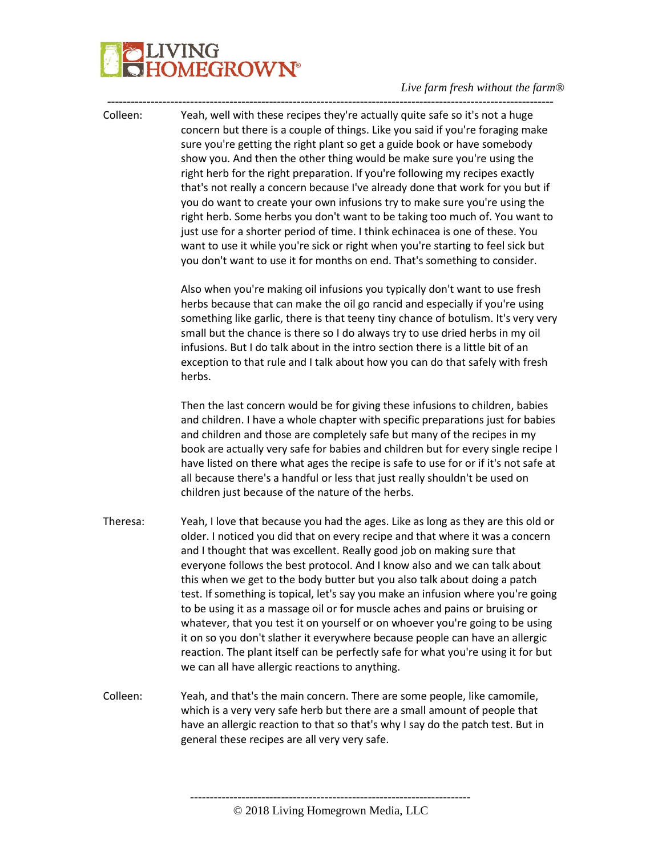# IVING<br>IOMEGROW**N°**

### *Live farm fresh without the farm®*

----------------------------------------------------------------------------------------------------------------- Colleen: Yeah, well with these recipes they're actually quite safe so it's not a huge concern but there is a couple of things. Like you said if you're foraging make sure you're getting the right plant so get a guide book or have somebody show you. And then the other thing would be make sure you're using the right herb for the right preparation. If you're following my recipes exactly that's not really a concern because I've already done that work for you but if you do want to create your own infusions try to make sure you're using the right herb. Some herbs you don't want to be taking too much of. You want to just use for a shorter period of time. I think echinacea is one of these. You want to use it while you're sick or right when you're starting to feel sick but you don't want to use it for months on end. That's something to consider. Also when you're making oil infusions you typically don't want to use fresh herbs because that can make the oil go rancid and especially if you're using something like garlic, there is that teeny tiny chance of botulism. It's very very small but the chance is there so I do always try to use dried herbs in my oil infusions. But I do talk about in the intro section there is a little bit of an exception to that rule and I talk about how you can do that safely with fresh herbs. Then the last concern would be for giving these infusions to children, babies and children. I have a whole chapter with specific preparations just for babies and children and those are completely safe but many of the recipes in my book are actually very safe for babies and children but for every single recipe I have listed on there what ages the recipe is safe to use for or if it's not safe at all because there's a handful or less that just really shouldn't be used on children just because of the nature of the herbs. Theresa: Yeah, I love that because you had the ages. Like as long as they are this old or older. I noticed you did that on every recipe and that where it was a concern and I thought that was excellent. Really good job on making sure that everyone follows the best protocol. And I know also and we can talk about this when we get to the body butter but you also talk about doing a patch test. If something is topical, let's say you make an infusion where you're going to be using it as a massage oil or for muscle aches and pains or bruising or whatever, that you test it on yourself or on whoever you're going to be using it on so you don't slather it everywhere because people can have an allergic reaction. The plant itself can be perfectly safe for what you're using it for but we can all have allergic reactions to anything. Colleen: Yeah, and that's the main concern. There are some people, like camomile, which is a very very safe herb but there are a small amount of people that have an allergic reaction to that so that's why I say do the patch test. But in

general these recipes are all very very safe.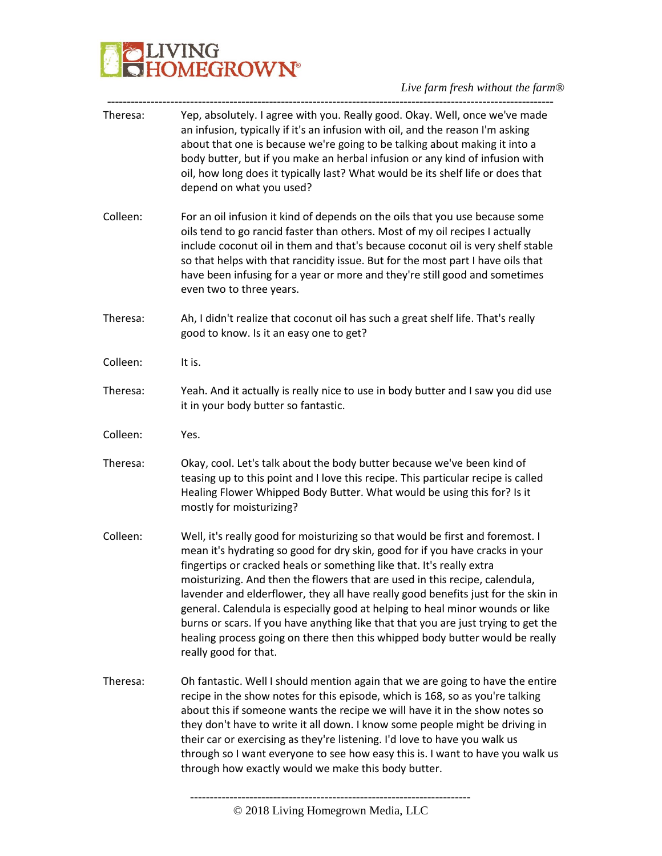

| Theresa: | Yep, absolutely. I agree with you. Really good. Okay. Well, once we've made<br>an infusion, typically if it's an infusion with oil, and the reason I'm asking<br>about that one is because we're going to be talking about making it into a<br>body butter, but if you make an herbal infusion or any kind of infusion with<br>oil, how long does it typically last? What would be its shelf life or does that<br>depend on what you used?                                                                                                                                                                                                                                                   |
|----------|----------------------------------------------------------------------------------------------------------------------------------------------------------------------------------------------------------------------------------------------------------------------------------------------------------------------------------------------------------------------------------------------------------------------------------------------------------------------------------------------------------------------------------------------------------------------------------------------------------------------------------------------------------------------------------------------|
| Colleen: | For an oil infusion it kind of depends on the oils that you use because some<br>oils tend to go rancid faster than others. Most of my oil recipes I actually<br>include coconut oil in them and that's because coconut oil is very shelf stable<br>so that helps with that rancidity issue. But for the most part I have oils that<br>have been infusing for a year or more and they're still good and sometimes<br>even two to three years.                                                                                                                                                                                                                                                 |
| Theresa: | Ah, I didn't realize that coconut oil has such a great shelf life. That's really<br>good to know. Is it an easy one to get?                                                                                                                                                                                                                                                                                                                                                                                                                                                                                                                                                                  |
| Colleen: | It is.                                                                                                                                                                                                                                                                                                                                                                                                                                                                                                                                                                                                                                                                                       |
| Theresa: | Yeah. And it actually is really nice to use in body butter and I saw you did use<br>it in your body butter so fantastic.                                                                                                                                                                                                                                                                                                                                                                                                                                                                                                                                                                     |
| Colleen: | Yes.                                                                                                                                                                                                                                                                                                                                                                                                                                                                                                                                                                                                                                                                                         |
| Theresa: | Okay, cool. Let's talk about the body butter because we've been kind of<br>teasing up to this point and I love this recipe. This particular recipe is called<br>Healing Flower Whipped Body Butter. What would be using this for? Is it<br>mostly for moisturizing?                                                                                                                                                                                                                                                                                                                                                                                                                          |
| Colleen: | Well, it's really good for moisturizing so that would be first and foremost. I<br>mean it's hydrating so good for dry skin, good for if you have cracks in your<br>fingertips or cracked heals or something like that. It's really extra<br>moisturizing. And then the flowers that are used in this recipe, calendula,<br>lavender and elderflower, they all have really good benefits just for the skin in<br>general. Calendula is especially good at helping to heal minor wounds or like<br>burns or scars. If you have anything like that that you are just trying to get the<br>healing process going on there then this whipped body butter would be really<br>really good for that. |
| Theresa: | Oh fantastic. Well I should mention again that we are going to have the entire<br>recipe in the show notes for this episode, which is 168, so as you're talking<br>about this if someone wants the recipe we will have it in the show notes so<br>they don't have to write it all down. I know some people might be driving in<br>their car or exercising as they're listening. I'd love to have you walk us<br>through so I want everyone to see how easy this is. I want to have you walk us<br>through how exactly would we make this body butter.                                                                                                                                        |
|          |                                                                                                                                                                                                                                                                                                                                                                                                                                                                                                                                                                                                                                                                                              |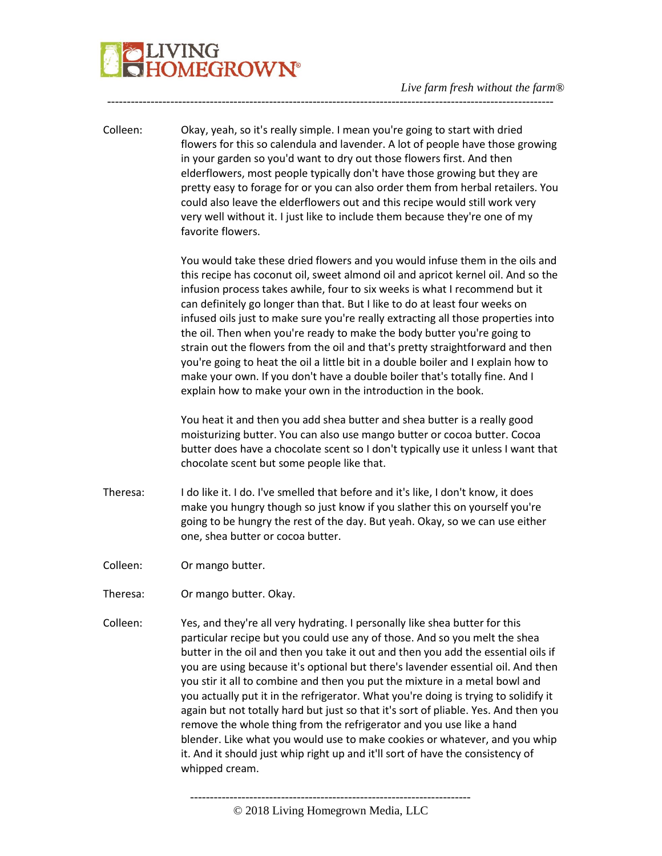# JVING<br>HOMEGROW**N°**

Colleen: Okay, yeah, so it's really simple. I mean you're going to start with dried flowers for this so calendula and lavender. A lot of people have those growing in your garden so you'd want to dry out those flowers first. And then elderflowers, most people typically don't have those growing but they are pretty easy to forage for or you can also order them from herbal retailers. You could also leave the elderflowers out and this recipe would still work very very well without it. I just like to include them because they're one of my favorite flowers.

-----------------------------------------------------------------------------------------------------------------

You would take these dried flowers and you would infuse them in the oils and this recipe has coconut oil, sweet almond oil and apricot kernel oil. And so the infusion process takes awhile, four to six weeks is what I recommend but it can definitely go longer than that. But I like to do at least four weeks on infused oils just to make sure you're really extracting all those properties into the oil. Then when you're ready to make the body butter you're going to strain out the flowers from the oil and that's pretty straightforward and then you're going to heat the oil a little bit in a double boiler and I explain how to make your own. If you don't have a double boiler that's totally fine. And I explain how to make your own in the introduction in the book.

You heat it and then you add shea butter and shea butter is a really good moisturizing butter. You can also use mango butter or cocoa butter. Cocoa butter does have a chocolate scent so I don't typically use it unless I want that chocolate scent but some people like that.

Theresa: I do like it. I do. I've smelled that before and it's like, I don't know, it does make you hungry though so just know if you slather this on yourself you're going to be hungry the rest of the day. But yeah. Okay, so we can use either one, shea butter or cocoa butter.

Colleen: Or mango butter.

- Theresa: Or mango butter. Okay.
- Colleen: Yes, and they're all very hydrating. I personally like shea butter for this particular recipe but you could use any of those. And so you melt the shea butter in the oil and then you take it out and then you add the essential oils if you are using because it's optional but there's lavender essential oil. And then you stir it all to combine and then you put the mixture in a metal bowl and you actually put it in the refrigerator. What you're doing is trying to solidify it again but not totally hard but just so that it's sort of pliable. Yes. And then you remove the whole thing from the refrigerator and you use like a hand blender. Like what you would use to make cookies or whatever, and you whip it. And it should just whip right up and it'll sort of have the consistency of whipped cream.

© 2018 Living Homegrown Media, LLC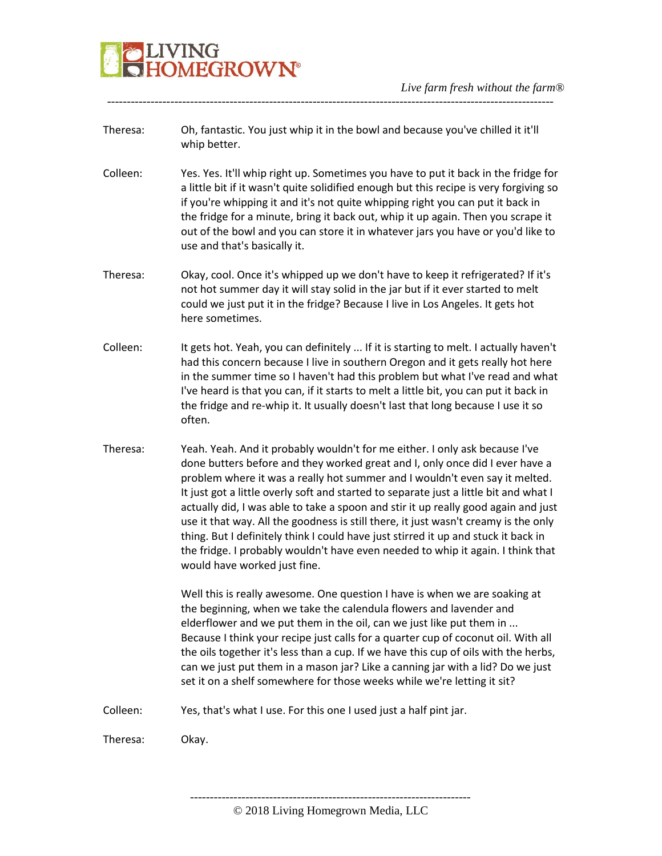

Theresa: Oh, fantastic. You just whip it in the bowl and because you've chilled it it'll whip better.

-----------------------------------------------------------------------------------------------------------------

- Colleen: Yes. Yes. It'll whip right up. Sometimes you have to put it back in the fridge for a little bit if it wasn't quite solidified enough but this recipe is very forgiving so if you're whipping it and it's not quite whipping right you can put it back in the fridge for a minute, bring it back out, whip it up again. Then you scrape it out of the bowl and you can store it in whatever jars you have or you'd like to use and that's basically it.
- Theresa: Okay, cool. Once it's whipped up we don't have to keep it refrigerated? If it's not hot summer day it will stay solid in the jar but if it ever started to melt could we just put it in the fridge? Because I live in Los Angeles. It gets hot here sometimes.
- Colleen: It gets hot. Yeah, you can definitely ... If it is starting to melt. I actually haven't had this concern because I live in southern Oregon and it gets really hot here in the summer time so I haven't had this problem but what I've read and what I've heard is that you can, if it starts to melt a little bit, you can put it back in the fridge and re-whip it. It usually doesn't last that long because I use it so often.
- Theresa: Yeah. Yeah. And it probably wouldn't for me either. I only ask because I've done butters before and they worked great and I, only once did I ever have a problem where it was a really hot summer and I wouldn't even say it melted. It just got a little overly soft and started to separate just a little bit and what I actually did, I was able to take a spoon and stir it up really good again and just use it that way. All the goodness is still there, it just wasn't creamy is the only thing. But I definitely think I could have just stirred it up and stuck it back in the fridge. I probably wouldn't have even needed to whip it again. I think that would have worked just fine.

Well this is really awesome. One question I have is when we are soaking at the beginning, when we take the calendula flowers and lavender and elderflower and we put them in the oil, can we just like put them in ... Because I think your recipe just calls for a quarter cup of coconut oil. With all the oils together it's less than a cup. If we have this cup of oils with the herbs, can we just put them in a mason jar? Like a canning jar with a lid? Do we just set it on a shelf somewhere for those weeks while we're letting it sit?

Colleen: Yes, that's what I use. For this one I used just a half pint jar.

Theresa: Okay.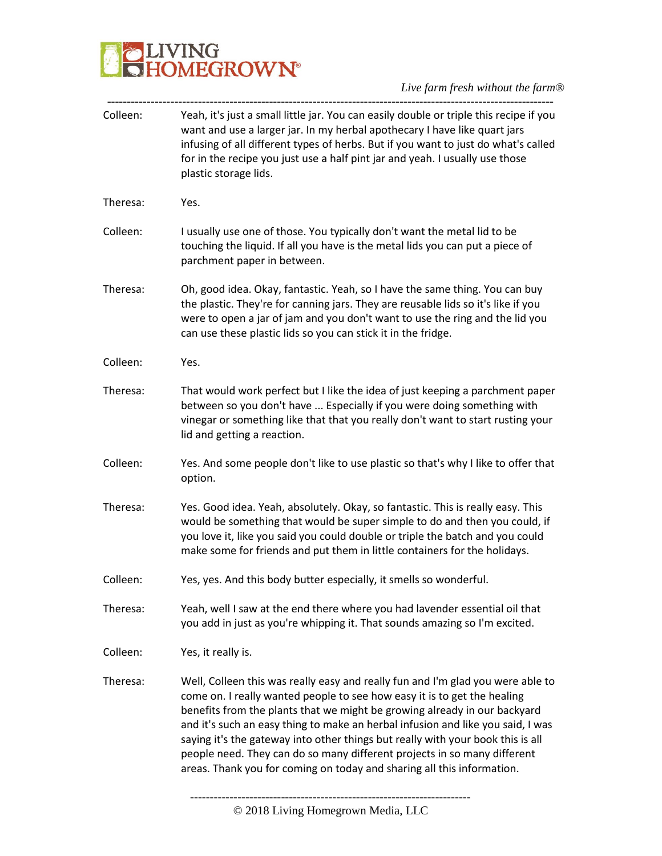

| Yeah, it's just a small little jar. You can easily double or triple this recipe if you<br>want and use a larger jar. In my herbal apothecary I have like quart jars<br>infusing of all different types of herbs. But if you want to just do what's called<br>for in the recipe you just use a half pint jar and yeah. I usually use those<br>plastic storage lids.                                                                                                                                                                                                   |
|----------------------------------------------------------------------------------------------------------------------------------------------------------------------------------------------------------------------------------------------------------------------------------------------------------------------------------------------------------------------------------------------------------------------------------------------------------------------------------------------------------------------------------------------------------------------|
| Yes.                                                                                                                                                                                                                                                                                                                                                                                                                                                                                                                                                                 |
| I usually use one of those. You typically don't want the metal lid to be<br>touching the liquid. If all you have is the metal lids you can put a piece of<br>parchment paper in between.                                                                                                                                                                                                                                                                                                                                                                             |
| Oh, good idea. Okay, fantastic. Yeah, so I have the same thing. You can buy<br>the plastic. They're for canning jars. They are reusable lids so it's like if you<br>were to open a jar of jam and you don't want to use the ring and the lid you<br>can use these plastic lids so you can stick it in the fridge.                                                                                                                                                                                                                                                    |
| Yes.                                                                                                                                                                                                                                                                                                                                                                                                                                                                                                                                                                 |
| That would work perfect but I like the idea of just keeping a parchment paper<br>between so you don't have  Especially if you were doing something with<br>vinegar or something like that that you really don't want to start rusting your<br>lid and getting a reaction.                                                                                                                                                                                                                                                                                            |
| Yes. And some people don't like to use plastic so that's why I like to offer that<br>option.                                                                                                                                                                                                                                                                                                                                                                                                                                                                         |
| Yes. Good idea. Yeah, absolutely. Okay, so fantastic. This is really easy. This<br>would be something that would be super simple to do and then you could, if<br>you love it, like you said you could double or triple the batch and you could<br>make some for friends and put them in little containers for the holidays.                                                                                                                                                                                                                                          |
| Yes, yes. And this body butter especially, it smells so wonderful.                                                                                                                                                                                                                                                                                                                                                                                                                                                                                                   |
| Yeah, well I saw at the end there where you had lavender essential oil that<br>you add in just as you're whipping it. That sounds amazing so I'm excited.                                                                                                                                                                                                                                                                                                                                                                                                            |
| Yes, it really is.                                                                                                                                                                                                                                                                                                                                                                                                                                                                                                                                                   |
| Well, Colleen this was really easy and really fun and I'm glad you were able to<br>come on. I really wanted people to see how easy it is to get the healing<br>benefits from the plants that we might be growing already in our backyard<br>and it's such an easy thing to make an herbal infusion and like you said, I was<br>saying it's the gateway into other things but really with your book this is all<br>people need. They can do so many different projects in so many different<br>areas. Thank you for coming on today and sharing all this information. |
|                                                                                                                                                                                                                                                                                                                                                                                                                                                                                                                                                                      |